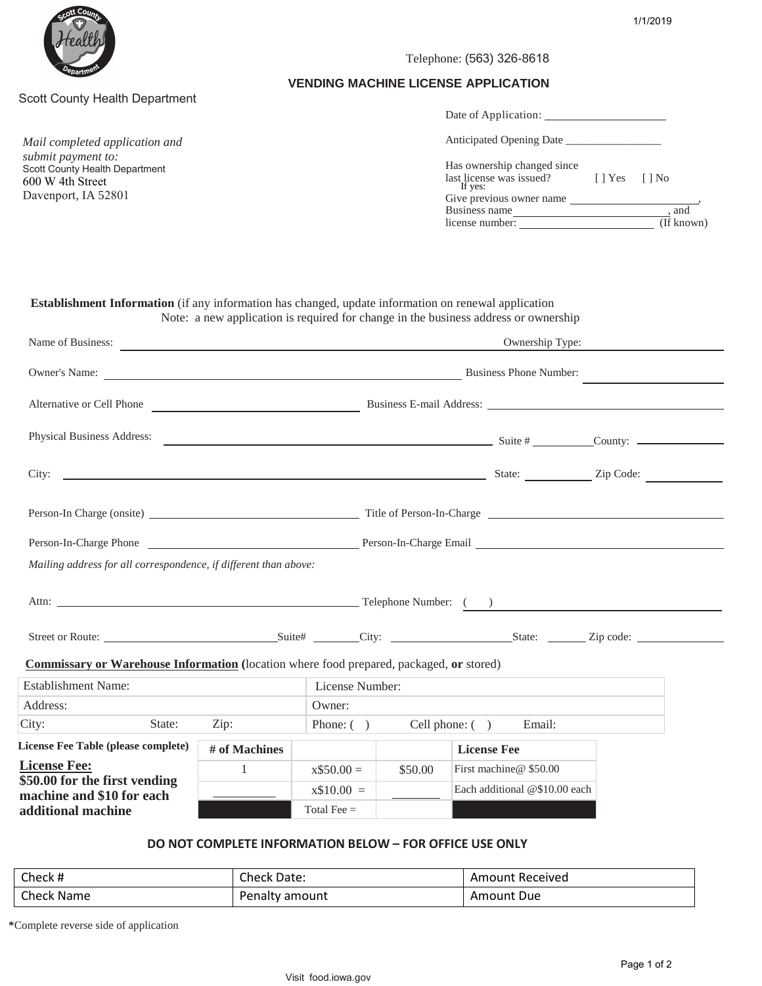



# Scott County Health Department

*Mail completed application and submit payment to:*  Scott County Health Department 600 W 4th Street Davenport, IA 52801

#### Telephone: (563) 326-8618

#### **VENDING MACHINE LICENSE APPLICATION**

| Date of Application:                                               |                |            |  |
|--------------------------------------------------------------------|----------------|------------|--|
| Anticipated Opening Date                                           |                |            |  |
| Has ownership changed since<br>last license was issued?<br>If yes: | [ ] Yes [ ] No |            |  |
| Give previous owner name                                           |                |            |  |
| Business name                                                      |                | , and      |  |
| license number:                                                    |                | (If known) |  |

 **Establishment Information** (if any information has changed, update information on renewal application Note: a new application is required for change in the business address or ownership

|                                                                                                                                                                                                                                |                 | Name of Business:<br>Ownership Type: |         |                               |  |
|--------------------------------------------------------------------------------------------------------------------------------------------------------------------------------------------------------------------------------|-----------------|--------------------------------------|---------|-------------------------------|--|
| Owner's Name: Business Phone Number:                                                                                                                                                                                           |                 |                                      |         |                               |  |
| Alternative or Cell Phone <u>entity and a Business E-mail Address:</u>                                                                                                                                                         |                 |                                      |         |                               |  |
| Physical Business Address:                                                                                                                                                                                                     |                 |                                      |         |                               |  |
|                                                                                                                                                                                                                                |                 |                                      |         |                               |  |
| Person-In Charge (onsite) Title of Person-In-Charge Title of Person-In-Charge Title of Person-In-Charge Title of Person-In-Charge Title of Person-In-Charge Title of Person-In-Charge Title of Person-In-Charge Title of Perso |                 |                                      |         |                               |  |
| Person-In-Charge Phone <b>Charge Phone</b> Person-In-Charge Email <b>Charge Email</b>                                                                                                                                          |                 |                                      |         |                               |  |
| Mailing address for all correspondence, if different than above:                                                                                                                                                               |                 |                                      |         |                               |  |
|                                                                                                                                                                                                                                |                 |                                      |         |                               |  |
|                                                                                                                                                                                                                                |                 |                                      |         |                               |  |
| <b>Commissary or Warehouse Information</b> (location where food prepared, packaged, or stored)                                                                                                                                 |                 |                                      |         |                               |  |
| <b>Establishment Name:</b>                                                                                                                                                                                                     | License Number: |                                      |         |                               |  |
| Address:                                                                                                                                                                                                                       |                 | Owner:                               |         |                               |  |
| City:<br>State:                                                                                                                                                                                                                | Zip:            | Phone: ( ) Cell phone: ( ) Email:    |         |                               |  |
| License Fee Table (please complete)                                                                                                                                                                                            | # of Machines   |                                      |         | <b>License Fee</b>            |  |
| <b>License Fee:</b>                                                                                                                                                                                                            | $\sim$ 1        | $x$50.00 =$                          | \$50.00 | First machine@\$50.00         |  |
| \$50.00 for the first vending<br>machine and \$10 for each                                                                                                                                                                     |                 | $x$10.00 =$                          |         | Each additional @\$10.00 each |  |
| additional machine                                                                                                                                                                                                             |                 | Total Fee $=$                        |         |                               |  |

# **DO NOT COMPLETE INFORMATION BELOW – FOR OFFICE USE ONLY**

| Check #    | <b>Check Date:</b> | Amount Received |
|------------|--------------------|-----------------|
| Check Name | Penalty amount     | Amount Due      |

**\***Complete reverse side of application